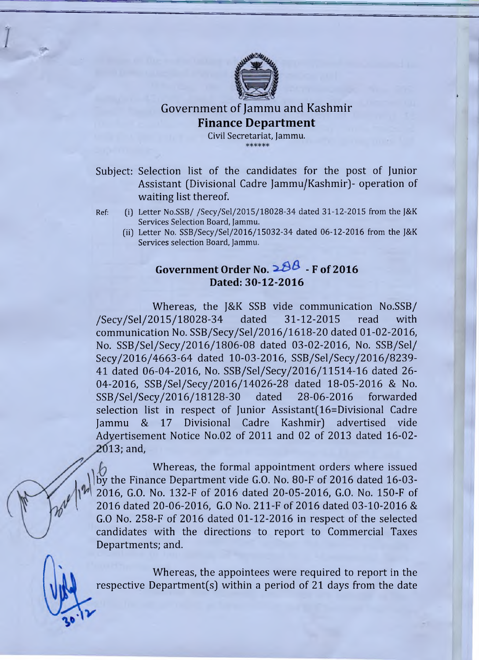

## Government of Jammu and Kashmir **Finance Department**

Civil Secretariat, Jammu. \*\*\*\*\*\*

- Subject: Selection list of the candidates for the post of Junior Assistant (Divisional Cadre Jammu/Kashmir)- operation of waiting list thereof.
- Ref: (i) Letter No.SSB/ /Secy/Sel/2015/18028-34 dated 31-12-2015 from the J&K Services Selection Board, Jammu.
	- (ii) Letter No. SSB/Secy/Sel/2016/15032-34 dated 06-12-2016 from the J&K Services selection Board, Jammu.

## **Government Order No.**  $288 - F$  **of 2016 Dated: 30-12-2016**

Whereas, the J&K SSB vide communication No.SSB/ /Secy/Sel/2015/18028-34 dated 31-12-2015 read with communication No. SSB/Secy/Sel/2016/1618-20 dated 01-02-2016, No. SSB/Sel/Secy/2016/1806-08 dated 03-02-2016, No. SSB/Sel/ Secy/2016/4663-64 dated 10-03-2016, SSB/Sel/Secy/2016/8239- 41 dated 06-04-2016, No. SSB/Sel/Secy/2016/11514-16 dated 26 04-2016, SSB/Sel/Secy/2016/14026-28 dated 18-05-2016 & No. SSB/Sel/Secy/2016/18128-30 dated 28-06-2016 forwarded selection list in respect of Junior Assistant(16=Divisional Cadre Jammu & 17 Divisional Cadre Kashmir) advertised vide Advertisement Notice No.02 of 2011 and 02 of 2013 dated 16-02 **20**13; and,

Whereas, the formal appointment orders where issued by the Finance Department vide G.O. No. 80-F of 2016 dated 16-03-2016, G.O. No. 132-F of 2016 dated 20-05-2016, G.O. No. 150-F of 2016 dated 20-06-2016, G.O No. 211-F of 2016 dated 03-10-2016 & G.O No. 258-F of 2016 dated 01-12-2016 in respect of the selected candidates with the directions to report to Commercial Taxes Departments; and.

Whereas, the appointees were required to report in the respective Department(s) within a period of 21 days from the date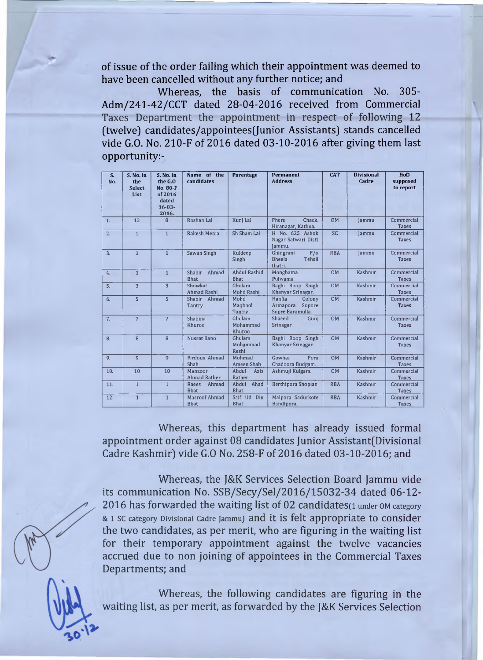of issue of the order failing which their appointment was deemed to have been cancelled without any further notice; and

Whereas, the basis of communication No. 305- Adm/241-42/CCT dated 28-04-2016 received from Commercial Taxes Department the appointment in respect of following 12 (twelve) candidates/appointees(Junior Assistants) stands cancelled vide G.O. No. 210-F of 2016 dated 03-10-2016 after giving them last opportunity:-

| S.<br>No.        | S. No. in<br>the<br><b>Select</b><br>List | S. No. in<br>the G.O<br>No. 80-F<br>of 2016<br>dated<br>$16 - 03 -$<br>2016. | Name of the<br>candidates      | Parentage                          | Permanent<br><b>Address</b>                                | <b>CAT</b> | <b>Divisional</b><br>Cadre | HoD<br>supposed<br>to report |
|------------------|-------------------------------------------|------------------------------------------------------------------------------|--------------------------------|------------------------------------|------------------------------------------------------------|------------|----------------------------|------------------------------|
| 1.               | 13                                        | 8                                                                            | Roshan Lal                     | Kuni Lal                           | Chack.<br>Pheru<br>Hiranagar, Kathua.                      | <b>OM</b>  | lammu                      | Commercial<br>Taxes          |
| 2.               | $\mathbf{1}$                              | $\mathbf{1}$                                                                 | Rakesh Menia                   | Sh Sham Lal                        | H No. 625 Ashok<br>Nagar Satwari Distt<br>lammu.           | <b>SC</b>  | lammu                      | Commercial<br>Taxes          |
| $\overline{3}$ . | $\overline{1}$                            | $\mathbf{1}$                                                                 | Sawan Singh                    | Kuldeep<br>Singh                   | Ghingrani<br>P/O<br>Tehsil<br><b>Bheela</b><br>thatri.     | <b>RBA</b> | lammu                      | Commercial<br>Taxes          |
| 4.               | $\mathbf{1}$                              | $\mathbf{1}$                                                                 | Shabir<br>Ahmad<br>Bhat        | <b>Abdul Rashid</b><br><b>Bhat</b> | Monghama<br>Pulwama.                                       | <b>OM</b>  | Kashmir                    | Commercial<br><b>Taxes</b>   |
| 5.               | $\overline{\mathbf{3}}$                   | $\overline{3}$                                                               | Showkat<br><b>Ahmad Rashi</b>  | Ghulam<br>Mohd Rashi               | Baghi Roop Singh<br>Khanyar Srinagar.                      | <b>OM</b>  | Kashmir                    | Commercial<br><b>Taxes</b>   |
| 6.               | $\overline{5}$                            | $\overline{\mathbf{5}}$                                                      | Shabir Ahmad<br>Tantry         | Mohd<br>Magbool<br>Tantry          | Hanfia<br>Colony<br>Armapora<br>Sopore<br>Sopre Baramulla. | <b>OM</b>  | Kashmir                    | Commercial<br>Taxes          |
| 7.               | $\overline{7}$                            | $\overline{7}$                                                               | Shabina<br>Khuroo              | Ghulam<br>Mohammad<br>Khuroo       | Shaeed<br>Guni<br>Srinagar.                                | <b>OM</b>  | Kashmir                    | Commercial<br><b>Taxes</b>   |
| 8.               | 8                                         | 8                                                                            | <b>Nusrat Bano</b>             | Ghulam<br>Mohammad<br>Reshi        | Baghi Roop Singh<br>Khanyar Srinagar.                      | <b>OM</b>  | Kashmir                    | Commercial<br>Taxes          |
| 9.               | 9                                         | $\mathbf{q}$                                                                 | Firdous Ahmad<br>Shah          | Mohmad<br>Ameen Shah               | Gowhar<br>Pora<br>Chadoora Budgam.                         | <b>OM</b>  | Kashmir                    | Commercial<br><b>Taxes</b>   |
| 10.              | 10                                        | 10                                                                           | Manzoor<br><b>Ahmad Rather</b> | Abdul<br>Aziz<br>Rather            | Ashmuji Kulgam.                                            | <b>OM</b>  | Kashmir                    | Commercial<br><b>Taxes</b>   |
| 11.              | $\mathbf{1}$                              | $\mathbf{1}$                                                                 | Ahmad<br>Raees<br><b>Bhat</b>  | Abdul<br>Ahad<br><b>Bhat</b>       | Berthipora Shopian                                         | <b>RBA</b> | Kashmir                    | Commercial<br><b>Taxes</b>   |
| 12.              | $\overline{1}$                            | $\overline{1}$                                                               | Masroof Ahmad<br><b>Bhat</b>   | Saif Ud Din<br><b>Bhat</b>         | Malpora Sadurkote<br>Bandipora.                            | <b>RBA</b> | Kashmir                    | Commercial<br><b>Taxes</b>   |

Whereas, this department has already issued formal appointment order against 08 candidates Junior Assistant(Divisional Cadre Kashmir) vide G.O No. 258-F of 2016 dated 03-10-2016; and

Whereas, the J&K Services Selection Board Jammu vide its communication No. SSB/Secy/Sel/2016/15032-34 dated 06-12 2016 has forwarded the waiting list of 02 candidates(1 under OM category & 1 SC category Divisional Cadre Jammu) and it is felt appropriate to Consider the two candidates, as per merit, who are figuring in the waiting list for their temporary appointment against the twelve vacancies accrued due to non joining of appointees in the Commercial Taxes Departments; and

Whereas, the following candidates are figuring in the waiting list, as per merit, as forwarded by the J&K Services Selection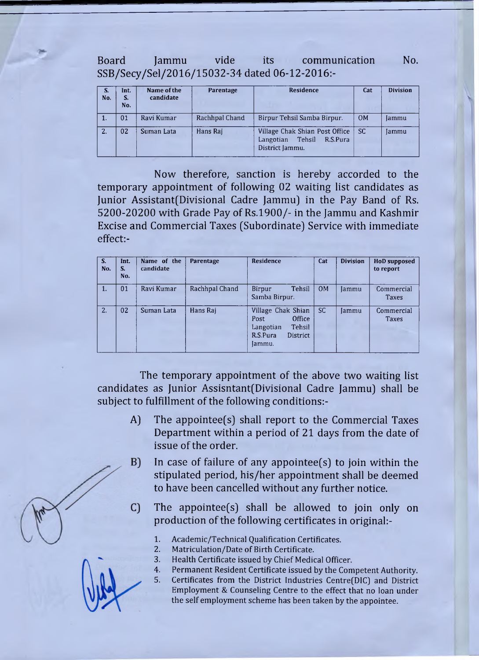Board Jammu vide its communication No. SSB/Secy/Sel/2016/15032-34 dated 06-12-2016:-

| S.<br>No. | Int.<br>S.<br>No. | Name of the<br>candidate | Parentage      | <b>Residence</b>                                                                     | Cat | <b>Division</b> |
|-----------|-------------------|--------------------------|----------------|--------------------------------------------------------------------------------------|-----|-----------------|
| 1.        | 01                | Ravi Kumar               | Rachhpal Chand | Birpur Tehsil Samba Birpur.                                                          | OM  | Jammu           |
| 2.        | 02                | Suman Lata               | Hans Raj       | Village Chak Shian Post Office<br>Tehsil<br>R.S.Pura<br>Langotian<br>District Jammu. | SC. | Jammu           |

Now therefore, sanction is hereby accorded to the temporary appointment of following 02 waiting list candidates as Junior Assistant(Divisional Cadre Jammu] in the Pay Band of Rs. 5200-20200 with Grade Pay of Rs.1900/- in the Jammu and Kashmir Excise and Commercial Taxes (Subordinate) Service with immediate effect:-

| S.<br>No. | Int.<br>S.<br>No. | Name of the<br>candidate | Parentage      | Residence                                                                                            | Cat       | <b>Division</b> | <b>HoD</b> supposed<br>to report |
|-----------|-------------------|--------------------------|----------------|------------------------------------------------------------------------------------------------------|-----------|-----------------|----------------------------------|
| 1.        | 01                | Ravi Kumar               | Rachhpal Chand | Tehsil<br>Birpur<br>Samba Birpur.                                                                    | <b>OM</b> | Jammu           | Commercial<br>Taxes              |
| 2.        | 02                | Suman Lata               | Hans Raj       | Village Chak Shian<br>Office<br>Post<br>Tehsil<br>Langotian<br>R.S.Pura<br><b>District</b><br>Jammu. | <b>SC</b> | Jammu           | Commercial<br><b>Taxes</b>       |

The temporary appointment of the above two waiting list candidates as Junior Assisntant(Divisional Cadre Jammu) shall be subject to fulfillment of the following conditions:-

- A) The appointee(s) shall report to the Commercial Taxes Department within a period of 21 days from the date of issue of the order.
- $B)$ In case of failure of any appointee(s) to join within the stipulated period, his/her appointment shall be deemed to have been cancelled without any further notice.
- The appointee(s) shall be allowed to join only on C) production of the following certificates in original:-
	- 1. Academic/Technical Qualification Certificates.
	- 2. Matriculation/Date of Birth Certificate.
	- 3. Health Certificate issued by Chief Medical Officer.
	- 4. Permanent Resident Certificate issued by the Competent Authority.
	- 5. Certificates from the District Industries Centre(DIC) and District Employment & Counseling Centre to the effect that no loan under the self employment scheme has been taken by the appointee.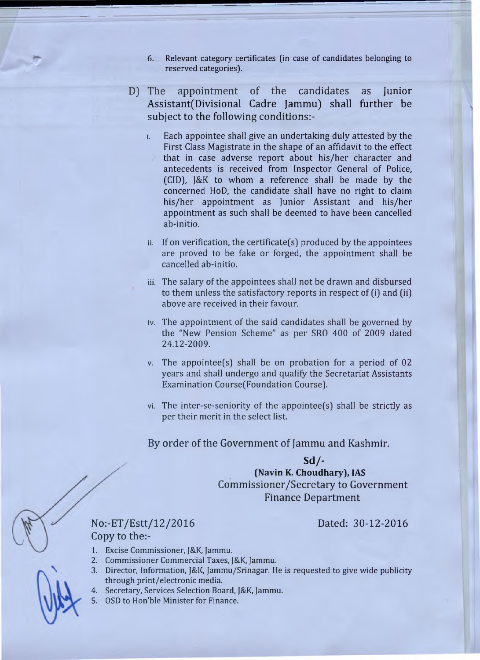- 6. Relevant category certificates (in case of candidates belonging to reserved categories).
- D) The appointment of the candidates as Junior Assistant(Divisional Cadre Jammu] shall further be subject to the following conditions:
	- i. Each appointee shall give an undertaking duly attested by the First Class Magistrate in the shape of an affidavit to the effect that in case adverse report about his/her character and antecedents is received from Inspector General of Police, (CID), J&K to whom a reference shall be made by the concerned HoD, the candidate shall have no right to claim his/her appointment as Junior Assistant and his/her appointment as such shall be deemed to have been cancelled ab-initio.
	- $ii.$  If on verification, the certificate(s) produced by the appointees are proved to be fake or forged, the appointment shall be cancelled ab-initio.
	- iii. The salary of the appointees shall not be drawn and disbursed to them unless the satisfactory reports in respect of (i) and [ii] above are received in their favour.
	- iv. The appointment of the said candidates shall be governed by the "New Pension Scheme" as per SRO 400 of 2009 dated 24.12-2009.
	- v. The appointee(s) shall be on probation for a period of 02 years and shall undergo and qualify the Secretariat Assistants Examination Course(Foundation Course).
	- vi. The inter-se-seniority of the appointee(s) shall be strictly as per their merit in the select list.

By order of the Government of Jammu and Kashmir.

## **Sd/-**

**(Navin K. Choudhary), IAS** Commissioner/Secretary to Government Finance Department

No:-ET/Estt/12/2016 Dated: 30-12-2016 Copy to the:-

- 1. Excise Commissioner, J&K, Jammu.
- 2. Commissioner Commercial Taxes, J&K, Jammu.
- 3. Director, Information, J&K, Jammu/Srinagar. He is requested to give wide publicity through print/electronic media.
- 4. Secretary, Services Selection Board, J&K, Jammu.
- 5. OSD to Hon'ble Minister for Finance.